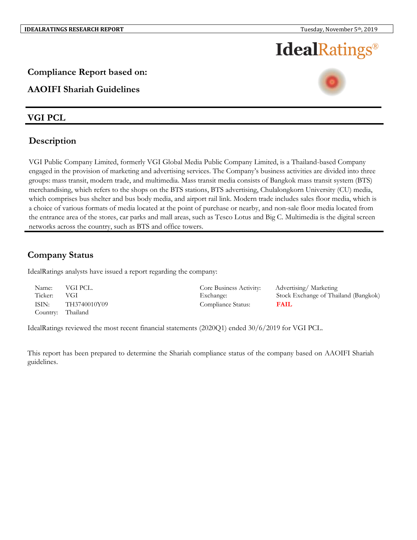# **IdealRatings®**

### **Compliance Report based on:**

## **AAOIFI Shariah Guidelines**

### **VGI PCL**

## **Description**

VGI Public Company Limited, formerly VGI Global Media Public Company Limited, is a Thailand-based Company engaged in the provision of marketing and advertising services. The Company's business activities are divided into three groups: mass transit, modern trade, and multimedia. Mass transit media consists of Bangkok mass transit system (BTS) merchandising, which refers to the shops on the BTS stations, BTS advertising, Chulalongkorn University (CU) media, which comprises bus shelter and bus body media, and airport rail link. Modern trade includes sales floor media, which is a choice of various formats of media located at the point of purchase or nearby, and non-sale floor media located from the entrance area of the stores, car parks and mall areas, such as Tesco Lotus and Big C. Multimedia is the digital screen networks across the country, such as BTS and office towers.

# **Company Status**

IdealRatings analysts have issued a report regarding the company:

| Name:<br>Ticker: | VGI PCL.<br>VGI   | Core Business Activity:<br>Exchange: | Advertising/Marketing<br>Stock Exchange of Thailand (Bangkok) |
|------------------|-------------------|--------------------------------------|---------------------------------------------------------------|
| ISIN:            | TH3740010Y09      | Compliance Status:                   | <b>FAIL</b>                                                   |
|                  | Country: Thailand |                                      |                                                               |

IdealRatings reviewed the most recent financial statements (2020Q1) ended 30/6/2019 for VGI PCL.

This report has been prepared to determine the Shariah compliance status of the company based on AAOIFI Shariah guidelines.

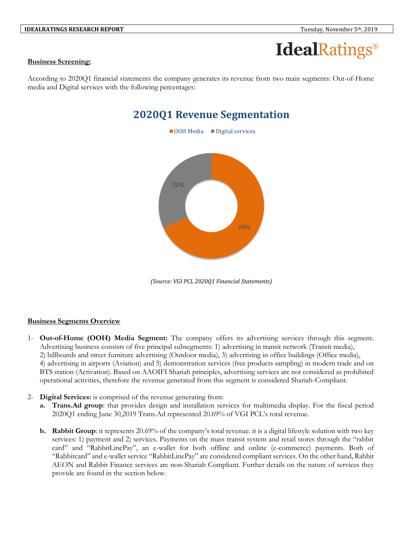

#### **Business Screening:**

According to 2020Q1 financial statements the company generates its revenue from two main segments: Out-of-Home media and Digital services with the following percentages:

# **2020Q1 Revenue Segmentation**



*(Source: VGI PCL 2020Q1 Financial Statements)*

#### **Business Segments Overview**

- 1- **Out-of-Home (OOH) Media Segment:** The company offers its advertising services through this segment. Advertising business consists of five principal subsegments: 1) advertising in transit network (Transit media), 2) billboards and street furniture advertising (Outdoor media), 3) advertising in office buildings (Office media), 4) advertising in airports (Aviation) and 5) demonstration services (free products sampling) in modern trade and on BTS station (Activation). Based on AAOIFI Shariah principles, advertising services are not considered as prohibited operational activities, therefore the revenue generated from this segment is considered Shariah-Compliant.
- 2- **Digital Services:** is comprised of the revenue generating from:
	- **a. Trans.Ad group**: that provides design and installation services for multimedia display. For the fiscal period 2020Q1 ending June 30,2019 Trans.Ad represented 20.69% of VGI PCL's total revenue.
	- **b. Rabbit Group**: it represents 20.69% of the company's total revenue. it is a digital lifestyle solution with two key services: 1) payment and 2) services. Payments on the mass transit system and retail stores through the "rabbit card" and "RabbitLinePay", an e-wallet for both offline and online (e-commerce) payments. Both of "Rabbitcard" and e-wallet service "RabbitLinePay" are considered compliant services. On the other hand, Rabbit AEON and Rabbit Finance services are non-Shariah Compliant. Further details on the nature of services they provide are found in the section below.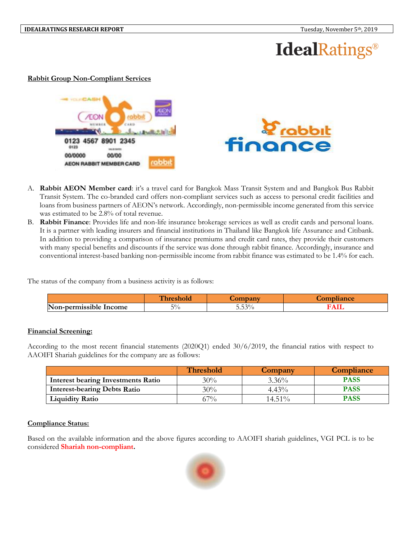# **IdealRatings**®

#### **Rabbit Group Non-Compliant Services**





- A. **Rabbit AEON Member card**: it's a travel card for Bangkok Mass Transit System and and Bangkok Bus Rabbit Transit System. The co-branded card offers non-compliant services such as access to personal credit facilities and loans from business partners of AEON's network. Accordingly, non-permissible income generated from this service was estimated to be 2.8% of total revenue.
- B. **Rabbit Finance**: Provides life and non-life insurance brokerage services as well as credit cards and personal loans. It is a partner with leading insurers and financial institutions in Thailand like Bangkok life Assurance and Citibank. In addition to providing a comparison of insurance premiums and credit card rates, they provide their customers with many special benefits and discounts if the service was done through rabbit finance. Accordingly, insurance and conventional interest-based banking non-permissible income from rabbit finance was estimated to be 1.4% for each.

The status of the company from a business activity is as follows:

|                                                           |           | -                 | $\sim$ $\sim$ $\sim$ |
|-----------------------------------------------------------|-----------|-------------------|----------------------|
| IN<br>$\bullet$<br>:nermissible<br>Income<br><b>LAVIL</b> | 50/<br>'υ | F. F.20.<br>J.J.J |                      |

#### **Financial Screening:**

According to the most recent financial statements (2020Q1) ended 30/6/2019, the financial ratios with respect to AAOIFI Shariah guidelines for the company are as follows:

|                                           | <b>Threshold</b> | Company   | Compliance  |
|-------------------------------------------|------------------|-----------|-------------|
| <b>Interest bearing Investments Ratio</b> | 30%              | $3.36\%$  | <b>PASS</b> |
| <b>Interest-bearing Debts Ratio</b>       | 30%              | $4.43\%$  | <b>PASS</b> |
| <b>Liquidity Ratio</b>                    | 67%              | $14.51\%$ | PASS        |

#### **Compliance Status:**

Based on the available information and the above figures according to AAOIFI shariah guidelines, VGI PCL is to be considered **Shariah non-compliant.**